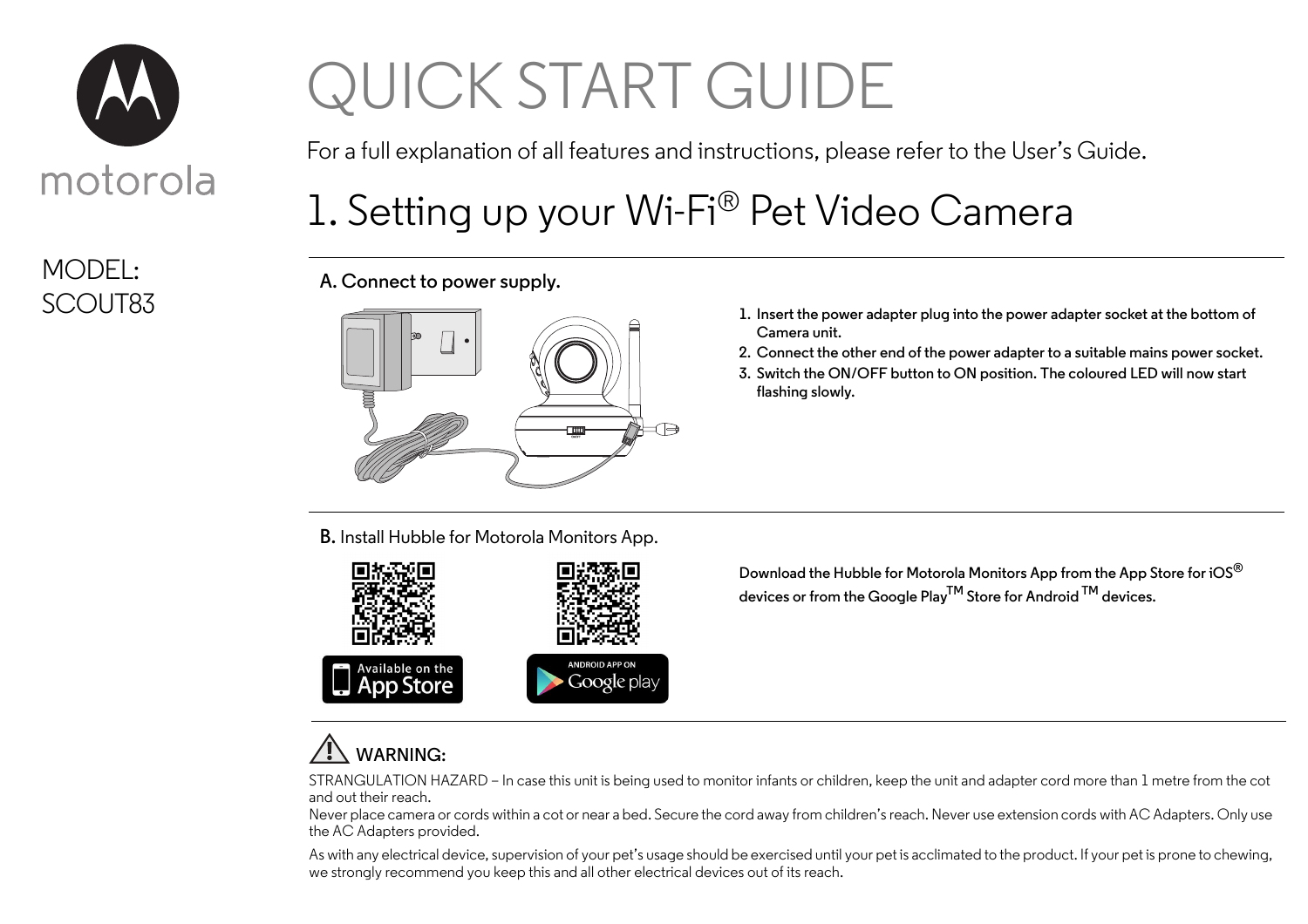

# MODEL:

# QUICK START GUIDE

For a full explanation of all features and instructions, please refer to the User's Guide.

## 1. Setting up your Wi-Fi® Pet Video Camera

**A. Connect to power supply.**



- **Camera unit.**
- **2. Connect the other end of the power adapter to a suitable mains power socket.**
- **3. Switch the ON/OFF button to ON position. The coloured LED will now start flashing slowly.**

**B.** Install Hubble for Motorola Monitors App.



**Download the Hubble for Motorola Monitors App from the App Store for iOS® devices or from the Google PlayTM Store for Android TM devices.**

### **WARNING:**

STRANGULATION HAZARD – In case this unit is being used to monitor infants or children, keep the unit and adapter cord more than 1 metre from the cot and out their reach.

Never place camera or cords within a cot or near a bed. Secure the cord away from children's reach. Never use extension cords with AC Adapters. Only use the AC Adapters provided.

As with any electrical device, supervision of your pet's usage should be exercised until your pet is acclimated to the product. If your pet is prone to chewing, we strongly recommend you keep this and all other electrical devices out of its reach.